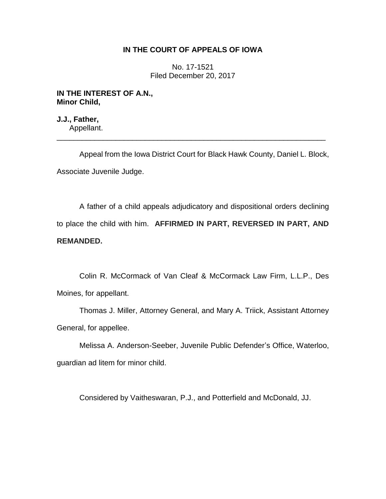## **IN THE COURT OF APPEALS OF IOWA**

No. 17-1521 Filed December 20, 2017

### **IN THE INTEREST OF A.N., Minor Child,**

**J.J., Father,** Appellant.

Appeal from the Iowa District Court for Black Hawk County, Daniel L. Block, Associate Juvenile Judge.

\_\_\_\_\_\_\_\_\_\_\_\_\_\_\_\_\_\_\_\_\_\_\_\_\_\_\_\_\_\_\_\_\_\_\_\_\_\_\_\_\_\_\_\_\_\_\_\_\_\_\_\_\_\_\_\_\_\_\_\_\_\_\_\_

A father of a child appeals adjudicatory and dispositional orders declining to place the child with him. **AFFIRMED IN PART, REVERSED IN PART, AND REMANDED.**

Colin R. McCormack of Van Cleaf & McCormack Law Firm, L.L.P., Des Moines, for appellant.

Thomas J. Miller, Attorney General, and Mary A. Triick, Assistant Attorney General, for appellee.

Melissa A. Anderson-Seeber, Juvenile Public Defender's Office, Waterloo, guardian ad litem for minor child.

Considered by Vaitheswaran, P.J., and Potterfield and McDonald, JJ.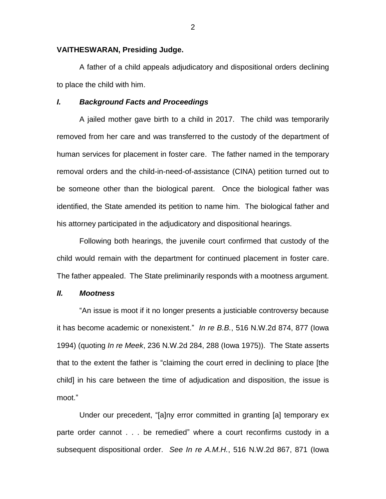### **VAITHESWARAN, Presiding Judge.**

A father of a child appeals adjudicatory and dispositional orders declining to place the child with him.

### *I. Background Facts and Proceedings*

A jailed mother gave birth to a child in 2017. The child was temporarily removed from her care and was transferred to the custody of the department of human services for placement in foster care. The father named in the temporary removal orders and the child-in-need-of-assistance (CINA) petition turned out to be someone other than the biological parent. Once the biological father was identified, the State amended its petition to name him. The biological father and his attorney participated in the adjudicatory and dispositional hearings.

Following both hearings, the juvenile court confirmed that custody of the child would remain with the department for continued placement in foster care. The father appealed. The State preliminarily responds with a mootness argument.

### *II. Mootness*

"An issue is moot if it no longer presents a justiciable controversy because it has become academic or nonexistent." *In re B.B.*, 516 N.W.2d 874, 877 (Iowa 1994) (quoting *In re Meek*, 236 N.W.2d 284, 288 (Iowa 1975)). The State asserts that to the extent the father is "claiming the court erred in declining to place [the child] in his care between the time of adjudication and disposition, the issue is moot."

Under our precedent, "[a]ny error committed in granting [a] temporary ex parte order cannot . . . be remedied" where a court reconfirms custody in a subsequent dispositional order. *See In re A.M.H.*, 516 N.W.2d 867, 871 (Iowa

2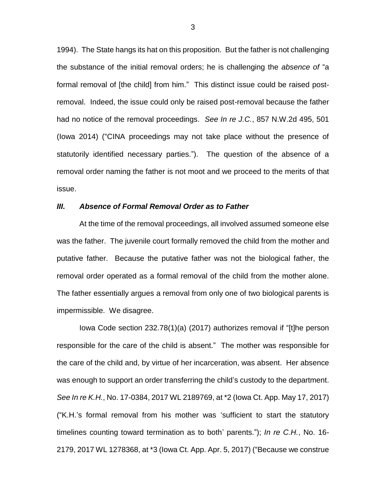1994). The State hangs its hat on this proposition. But the father is not challenging the substance of the initial removal orders; he is challenging the *absence of* "a formal removal of [the child] from him." This distinct issue could be raised postremoval. Indeed, the issue could only be raised post-removal because the father had no notice of the removal proceedings. *See In re J.C.*, 857 N.W.2d 495, 501 (Iowa 2014) ("CINA proceedings may not take place without the presence of statutorily identified necessary parties."). The question of the absence of a removal order naming the father is not moot and we proceed to the merits of that issue.

### *III. Absence of Formal Removal Order as to Father*

At the time of the removal proceedings, all involved assumed someone else was the father. The juvenile court formally removed the child from the mother and putative father. Because the putative father was not the biological father, the removal order operated as a formal removal of the child from the mother alone. The father essentially argues a removal from only one of two biological parents is impermissible. We disagree.

Iowa Code section 232.78(1)(a) (2017) authorizes removal if "[t]he person responsible for the care of the child is absent." The mother was responsible for the care of the child and, by virtue of her incarceration, was absent. Her absence was enough to support an order transferring the child's custody to the department. *See In re K.H.*, No. 17-0384, 2017 WL 2189769, at \*2 (Iowa Ct. App. May 17, 2017) ("K.H.'s formal removal from his mother was 'sufficient to start the statutory timelines counting toward termination as to both' parents."); *In re C.H.*, No. 16- 2179, 2017 WL 1278368, at \*3 (Iowa Ct. App. Apr. 5, 2017) ("Because we construe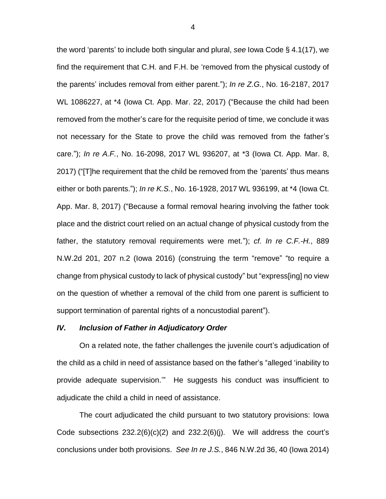the word 'parents' to include both singular and plural, *see* Iowa Code § 4.1(17), we find the requirement that C.H. and F.H. be 'removed from the physical custody of the parents' includes removal from either parent."); *In re Z.G.*, No. 16-2187, 2017 WL 1086227, at \*4 (Iowa Ct. App. Mar. 22, 2017) ("Because the child had been removed from the mother's care for the requisite period of time, we conclude it was not necessary for the State to prove the child was removed from the father's care."); *In re A.F.*, No. 16-2098, 2017 WL 936207, at \*3 (Iowa Ct. App. Mar. 8, 2017) ("[T]he requirement that the child be removed from the 'parents' thus means either or both parents."); *In re K.S.*, No. 16-1928, 2017 WL 936199, at \*4 (Iowa Ct. App. Mar. 8, 2017) ("Because a formal removal hearing involving the father took place and the district court relied on an actual change of physical custody from the father, the statutory removal requirements were met."); *cf. In re C.F.-H.*, 889 N.W.2d 201, 207 n.2 (Iowa 2016) (construing the term "remove" "to require a change from physical custody to lack of physical custody" but "express[ing] no view on the question of whether a removal of the child from one parent is sufficient to support termination of parental rights of a noncustodial parent").

#### *IV. Inclusion of Father in Adjudicatory Order*

On a related note, the father challenges the juvenile court's adjudication of the child as a child in need of assistance based on the father's "alleged 'inability to provide adequate supervision.'" He suggests his conduct was insufficient to adjudicate the child a child in need of assistance.

The court adjudicated the child pursuant to two statutory provisions: Iowa Code subsections  $232.2(6)(c)(2)$  and  $232.2(6)(j)$ . We will address the court's conclusions under both provisions. *See In re J.S.*, 846 N.W.2d 36, 40 (Iowa 2014)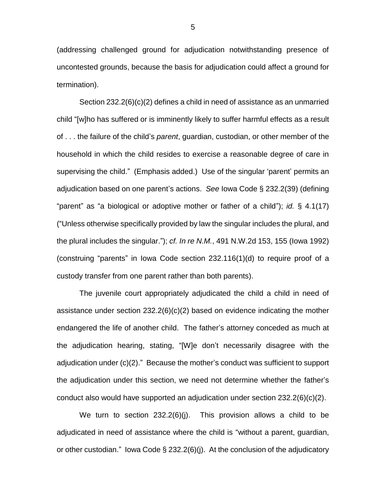(addressing challenged ground for adjudication notwithstanding presence of uncontested grounds, because the basis for adjudication could affect a ground for termination).

Section 232.2(6)(c)(2) defines a child in need of assistance as an unmarried child "[w]ho has suffered or is imminently likely to suffer harmful effects as a result of . . . the failure of the child's *parent*, guardian, custodian, or other member of the household in which the child resides to exercise a reasonable degree of care in supervising the child." (Emphasis added.) Use of the singular 'parent' permits an adjudication based on one parent's actions. *See* Iowa Code § 232.2(39) (defining "parent" as "a biological or adoptive mother or father of a child"); *id.* § 4.1(17) ("Unless otherwise specifically provided by law the singular includes the plural, and the plural includes the singular."); *cf. In re N.M.*, 491 N.W.2d 153, 155 (Iowa 1992) (construing "parents" in Iowa Code section 232.116(1)(d) to require proof of a custody transfer from one parent rather than both parents).

The juvenile court appropriately adjudicated the child a child in need of assistance under section  $232.2(6)(c)(2)$  based on evidence indicating the mother endangered the life of another child. The father's attorney conceded as much at the adjudication hearing, stating, "[W]e don't necessarily disagree with the adjudication under (c)(2)." Because the mother's conduct was sufficient to support the adjudication under this section, we need not determine whether the father's conduct also would have supported an adjudication under section 232.2(6)(c)(2).

We turn to section  $232.2(6)(i)$ . This provision allows a child to be adjudicated in need of assistance where the child is "without a parent, guardian, or other custodian." Iowa Code § 232.2(6)(j). At the conclusion of the adjudicatory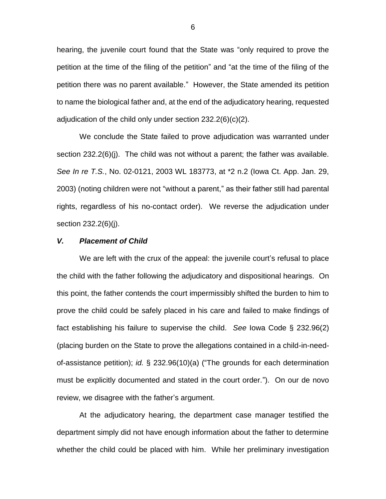hearing, the juvenile court found that the State was "only required to prove the petition at the time of the filing of the petition" and "at the time of the filing of the petition there was no parent available." However, the State amended its petition to name the biological father and, at the end of the adjudicatory hearing, requested adjudication of the child only under section 232.2(6)(c)(2).

We conclude the State failed to prove adjudication was warranted under section 232.2(6)(j). The child was not without a parent; the father was available. *See In re T.S.*, No. 02-0121, 2003 WL 183773, at \*2 n.2 (Iowa Ct. App. Jan. 29, 2003) (noting children were not "without a parent," as their father still had parental rights, regardless of his no-contact order). We reverse the adjudication under section 232.2(6)(j).

### *V. Placement of Child*

We are left with the crux of the appeal: the juvenile court's refusal to place the child with the father following the adjudicatory and dispositional hearings. On this point, the father contends the court impermissibly shifted the burden to him to prove the child could be safely placed in his care and failed to make findings of fact establishing his failure to supervise the child. *See* Iowa Code § 232.96(2) (placing burden on the State to prove the allegations contained in a child-in-needof-assistance petition); *id.* § 232.96(10)(a) ("The grounds for each determination must be explicitly documented and stated in the court order."). On our de novo review, we disagree with the father's argument.

At the adjudicatory hearing, the department case manager testified the department simply did not have enough information about the father to determine whether the child could be placed with him. While her preliminary investigation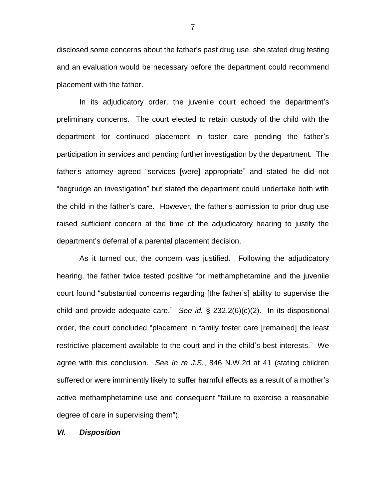disclosed some concerns about the father's past drug use, she stated drug testing and an evaluation would be necessary before the department could recommend placement with the father.

In its adjudicatory order, the juvenile court echoed the department's preliminary concerns. The court elected to retain custody of the child with the department for continued placement in foster care pending the father's participation in services and pending further investigation by the department. The father's attorney agreed "services [were] appropriate" and stated he did not "begrudge an investigation" but stated the department could undertake both with the child in the father's care. However, the father's admission to prior drug use raised sufficient concern at the time of the adjudicatory hearing to justify the department's deferral of a parental placement decision.

As it turned out, the concern was justified. Following the adjudicatory hearing, the father twice tested positive for methamphetamine and the juvenile court found "substantial concerns regarding [the father's] ability to supervise the child and provide adequate care." *See id.* § 232.2(6)(c)(2). In its dispositional order, the court concluded "placement in family foster care [remained] the least restrictive placement available to the court and in the child's best interests." We agree with this conclusion. *See In re J.S.*, 846 N.W.2d at 41 (stating children suffered or were imminently likely to suffer harmful effects as a result of a mother's active methamphetamine use and consequent "failure to exercise a reasonable degree of care in supervising them").

*VI. Disposition* 

7